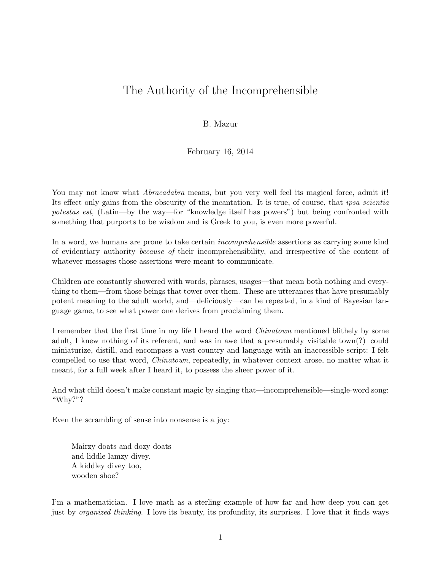## The Authority of the Incomprehensible

## B. Mazur

## February 16, 2014

You may not know what *Abracadabra* means, but you very well feel its magical force, admit it! Its effect only gains from the obscurity of the incantation. It is true, of course, that *ipsa scientia potestas est,* (Latin—by the way—for "knowledge itself has powers") but being confronted with something that purports to be wisdom and is Greek to you, is even more powerful.

In a word, we humans are prone to take certain *incomprehensible* assertions as carrying some kind of evidentiary authority *because of* their incomprehensibility, and irrespective of the content of whatever messages those assertions were meant to communicate.

Children are constantly showered with words, phrases, usages—that mean both nothing and everything to them—from those beings that tower over them. These are utterances that have presumably potent meaning to the adult world, and—deliciously—can be repeated, in a kind of Bayesian language game, to see what power one derives from proclaiming them.

I remember that the first time in my life I heard the word *Chinatown* mentioned blithely by some adult, I knew nothing of its referent, and was in awe that a presumably visitable town(?) could miniaturize, distill, and encompass a vast country and language with an inaccessible script: I felt compelled to use that word, *Chinatown*, repeatedly, in whatever context arose, no matter what it meant, for a full week after I heard it, to possess the sheer power of it.

And what child doesn't make constant magic by singing that—incomprehensible—single-word song: "Why?"?

Even the scrambling of sense into nonsense is a joy:

Mairzy doats and dozy doats and liddle lamzy divey. A kiddley divey too, wooden shoe?

I'm a mathematician. I love math as a sterling example of how far and how deep you can get just by *organized thinking*. I love its beauty, its profundity, its surprises. I love that it finds ways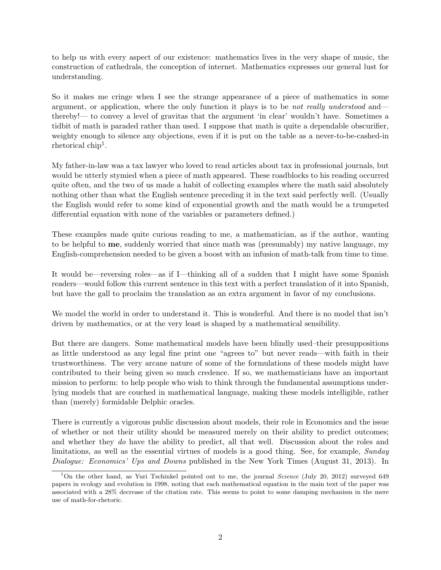to help us with every aspect of our existence: mathematics lives in the very shape of music, the construction of cathedrals, the conception of internet. Mathematics expresses our general lust for understanding.

So it makes me cringe when I see the strange appearance of a piece of mathematics in some argument, or application, where the only function it plays is to be *not really understood* and thereby!— to convey a level of gravitas that the argument 'in clear' wouldn't have. Sometimes a tidbit of math is paraded rather than used. I suppose that math is quite a dependable obscurifier, weighty enough to silence any objections, even if it is put on the table as a never-to-be-cashed-in rhetorical chip<sup>1</sup>.

My father-in-law was a tax lawyer who loved to read articles about tax in professional journals, but would be utterly stymied when a piece of math appeared. These roadblocks to his reading occurred quite often, and the two of us made a habit of collecting examples where the math said absolutely nothing other than what the English sentence preceding it in the text said perfectly well. (Usually the English would refer to some kind of exponential growth and the math would be a trumpeted differential equation with none of the variables or parameters defined.)

These examples made quite curious reading to me, a mathematician, as if the author, wanting to be helpful to me, suddenly worried that since math was (presumably) my native language, my English-comprehension needed to be given a boost with an infusion of math-talk from time to time.

It would be—reversing roles—as if I—thinking all of a sudden that I might have some Spanish readers—would follow this current sentence in this text with a perfect translation of it into Spanish, but have the gall to proclaim the translation as an extra argument in favor of my conclusions.

We model the world in order to understand it. This is wonderful. And there is no model that isn't driven by mathematics, or at the very least is shaped by a mathematical sensibility.

But there are dangers. Some mathematical models have been blindly used–their presuppositions as little understood as any legal fine print one "agrees to" but never reads—with faith in their trustworthiness. The very arcane nature of some of the formulations of these models might have contributed to their being given so much credence. If so, we mathematicians have an important mission to perform: to help people who wish to think through the fundamental assumptions underlying models that are couched in mathematical language, making these models intelligible, rather than (merely) formidable Delphic oracles.

There is currently a vigorous public discussion about models, their role in Economics and the issue of whether or not their utility should be measured merely on their ability to predict outcomes; and whether they *do* have the ability to predict, all that well. Discussion about the roles and limitations, as well as the essential virtues of models is a good thing. See, for example, *Sunday Dialogue: Economics' Ups and Downs* published in the New York Times (August 31, 2013). In

<sup>1</sup>On the other hand, as Yuri Tschinkel pointed out to me, the journal *Science* (July 20, 2012) surveyed 649 papers in ecology and evolution in 1998, noting that each mathematical equation in the main text of the paper was associated with a 28% decrease of the citation rate. This seems to point to some damping mechanism in the mere use of math-for-rhetoric.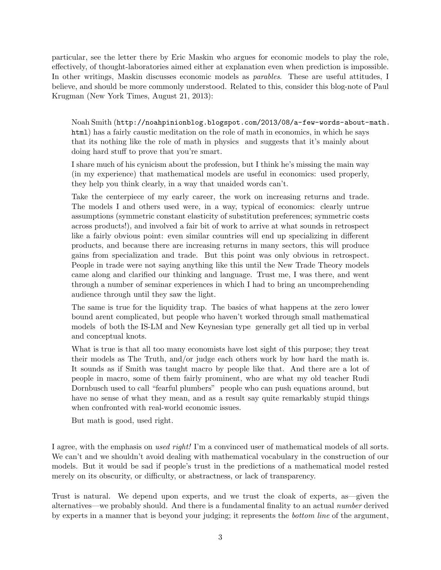particular, see the letter there by Eric Maskin who argues for economic models to play the role, effectively, of thought-laboratories aimed either at explanation even when prediction is impossible. In other writings, Maskin discusses economic models as *parables*. These are useful attitudes, I believe, and should be more commonly understood. Related to this, consider this blog-note of Paul Krugman (New York Times, August 21, 2013):

Noah Smith (http://noahpinionblog.blogspot.com/2013/08/a-few-words-about-math. html) has a fairly caustic meditation on the role of math in economics, in which he says that its nothing like the role of math in physics and suggests that it's mainly about doing hard stuff to prove that you're smart.

I share much of his cynicism about the profession, but I think he's missing the main way (in my experience) that mathematical models are useful in economics: used properly, they help you think clearly, in a way that unaided words can't.

Take the centerpiece of my early career, the work on increasing returns and trade. The models I and others used were, in a way, typical of economics: clearly untrue assumptions (symmetric constant elasticity of substitution preferences; symmetric costs across products!), and involved a fair bit of work to arrive at what sounds in retrospect like a fairly obvious point: even similar countries will end up specializing in different products, and because there are increasing returns in many sectors, this will produce gains from specialization and trade. But this point was only obvious in retrospect. People in trade were not saying anything like this until the New Trade Theory models came along and clarified our thinking and language. Trust me, I was there, and went through a number of seminar experiences in which I had to bring an uncomprehending audience through until they saw the light.

The same is true for the liquidity trap. The basics of what happens at the zero lower bound arent complicated, but people who haven't worked through small mathematical models of both the IS-LM and New Keynesian type generally get all tied up in verbal and conceptual knots.

What is true is that all too many economists have lost sight of this purpose; they treat their models as The Truth, and/or judge each others work by how hard the math is. It sounds as if Smith was taught macro by people like that. And there are a lot of people in macro, some of them fairly prominent, who are what my old teacher Rudi Dornbusch used to call "fearful plumbers" people who can push equations around, but have no sense of what they mean, and as a result say quite remarkably stupid things when confronted with real-world economic issues.

But math is good, used right.

I agree, with the emphasis on *used right!* I'm a convinced user of mathematical models of all sorts. We can't and we shouldn't avoid dealing with mathematical vocabulary in the construction of our models. But it would be sad if people's trust in the predictions of a mathematical model rested merely on its obscurity, or difficulty, or abstractness, or lack of transparency.

Trust is natural. We depend upon experts, and we trust the cloak of experts, as—given the alternatives—we probably should. And there is a fundamental finality to an actual *number* derived by experts in a manner that is beyond your judging; it represents the *bottom line* of the argument,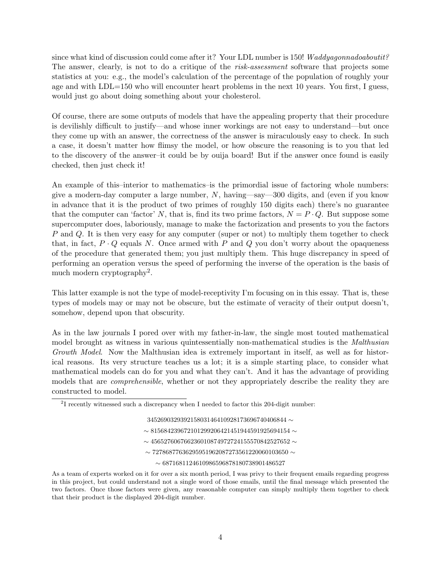since what kind of discussion could come after it? Your LDL number is 150! *Waddyagonnadoaboutit?* The answer, clearly, is not to do a critique of the *risk-assessment* software that projects some statistics at you: e.g., the model's calculation of the percentage of the population of roughly your age and with LDL=150 who will encounter heart problems in the next 10 years. You first, I guess, would just go about doing something about your cholesterol.

Of course, there are some outputs of models that have the appealing property that their procedure is devilishly difficult to justify—and whose inner workings are not easy to understand—but once they come up with an answer, the correctness of the answer is miraculously easy to check. In such a case, it doesn't matter how flimsy the model, or how obscure the reasoning is to you that led to the discovery of the answer–it could be by ouija board! But if the answer once found is easily checked, then just check it!

An example of this–interior to mathematics–is the primordial issue of factoring whole numbers: give a modern-day computer a large number, *N*, having—say—300 digits, and (even if you know in advance that it is the product of two primes of roughly 150 digits each) there's no guarantee that the computer can 'factor' *N*, that is, find its two prime factors,  $N = P \cdot Q$ . But suppose some supercomputer does, laboriously, manage to make the factorization and presents to you the factors *P* and *Q*. It is then very easy for any computer (super or not) to multiply them together to check that, in fact,  $P \cdot Q$  equals N. Once armed with P and Q you don't worry about the opaqueness of the procedure that generated them; you just multiply them. This huge discrepancy in speed of performing an operation versus the speed of performing the inverse of the operation is the basis of much modern cryptography<sup>2</sup>.

This latter example is not the type of model-receptivity I'm focusing on in this essay. That is, these types of models may or may not be obscure, but the estimate of veracity of their output doesn't, somehow, depend upon that obscurity.

As in the law journals I pored over with my father-in-law, the single most touted mathematical model brought as witness in various quintessentially non-mathematical studies is the *Malthusian Growth Model*. Now the Malthusian idea is extremely important in itself, as well as for historical reasons. Its very structure teaches us a lot; it is a simple starting place, to consider what mathematical models can do for you and what they can't. And it has the advantage of providing models that are *comprehensible*, whether or not they appropriately describe the reality they are constructed to model.

<sup>2</sup>I recently witnessed such a discrepancy when I needed to factor this 204-digit number:

345269032939215803146410928173696740406844 ∼

- ∼ 815684239672101299206421451944591925694154 ∼
- ∼ 456527606766236010874972724155570842527652 ∼
- ∼ 72786877636295951962087273561220060103650 ∼
	- ∼ 6871681124610986596878180738901486527

As a team of experts worked on it for over a six month period, I was privy to their frequent emails regarding progress in this project, but could understand not a single word of those emails, until the final message which presented the two factors. Once those factors were given, any reasonable computer can simply multiply them together to check that their product is the displayed 204-digit number.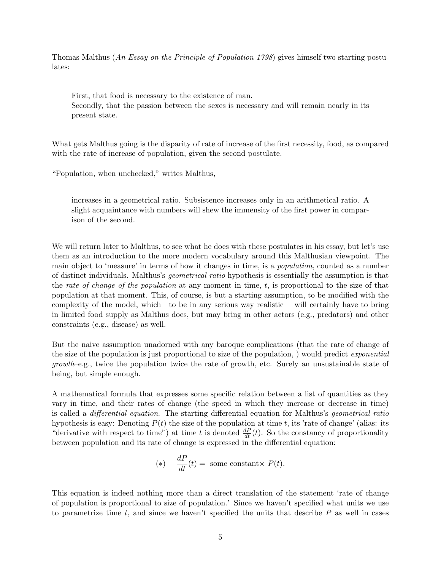Thomas Malthus (*An Essay on the Principle of Population 1798*) gives himself two starting postulates:

First, that food is necessary to the existence of man. Secondly, that the passion between the sexes is necessary and will remain nearly in its present state.

What gets Malthus going is the disparity of rate of increase of the first necessity, food, as compared with the rate of increase of population, given the second postulate.

"Population, when unchecked," writes Malthus,

increases in a geometrical ratio. Subsistence increases only in an arithmetical ratio. A slight acquaintance with numbers will shew the immensity of the first power in comparison of the second.

We will return later to Malthus, to see what he does with these postulates in his essay, but let's use them as an introduction to the more modern vocabulary around this Malthusian viewpoint. The main object to 'measure' in terms of how it changes in time, is a *population*, counted as a number of distinct individuals. Malthus's *geometrical ratio* hypothesis is essentially the assumption is that the *rate of change of the population* at any moment in time, *t*, is proportional to the size of that population at that moment. This, of course, is but a starting assumption, to be modified with the complexity of the model, which—to be in any serious way realistic— will certainly have to bring in limited food supply as Malthus does, but may bring in other actors (e.g., predators) and other constraints (e.g., disease) as well.

But the naive assumption unadorned with any baroque complications (that the rate of change of the size of the population is just proportional to size of the population, ) would predict *exponential growth*–e.g., twice the population twice the rate of growth, etc. Surely an unsustainable state of being, but simple enough.

A mathematical formula that expresses some specific relation between a list of quantities as they vary in time, and their rates of change (the speed in which they increase or decrease in time) is called a *di*ff*erential equation*. The starting differential equation for Malthus's *geometrical ratio* hypothesis is easy: Denoting  $P(t)$  the size of the population at time  $t$ , its 'rate of change' (alias: its "derivative with respect to time") at time *t* is denoted  $\frac{dP}{dt}(t)$ . So the constancy of proportionality between population and its rate of change is expressed in the differential equation:

(\*) 
$$
\frac{dP}{dt}(t) = \text{some constant} \times P(t).
$$

This equation is indeed nothing more than a direct translation of the statement 'rate of change of population is proportional to size of population.' Since we haven't specified what units we use to parametrize time *t*, and since we haven't specified the units that describe *P* as well in cases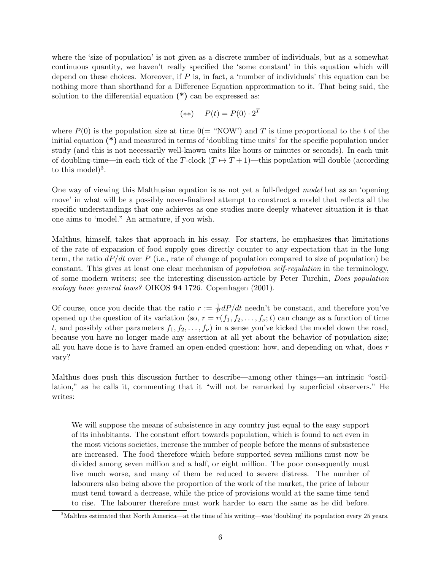where the 'size of population' is not given as a discrete number of individuals, but as a somewhat continuous quantity, we haven't really specified the 'some constant' in this equation which will depend on these choices. Moreover, if *P* is, in fact, a 'number of individuals' this equation can be nothing more than shorthand for a Difference Equation approximation to it. That being said, the solution to the differential equation  $(*)$  can be expressed as:

$$
(**) \quad P(t) = P(0) \cdot 2^T
$$

where  $P(0)$  is the population size at time  $0(=$  "NOW") and T is time proportional to the t of the initial equation (\*) and measured in terms of 'doubling time units' for the specific population under study (and this is not necessarily well-known units like hours or minutes or seconds). In each unit of doubling-time—in each tick of the *T*-clock  $(T \mapsto T + 1)$ —this population will double (according to this model)<sup>3</sup>.

One way of viewing this Malthusian equation is as not yet a full-fledged *model* but as an 'opening move' in what will be a possibly never-finalized attempt to construct a model that reflects all the specific understandings that one achieves as one studies more deeply whatever situation it is that one aims to 'model." An armature, if you wish.

Malthus, himself, takes that approach in his essay. For starters, he emphasizes that limitations of the rate of expansion of food supply goes directly counter to any expectation that in the long term, the ratio  $dP/dt$  over P (i.e., rate of change of population compared to size of population) be constant. This gives at least one clear mechanism of *population self-regulation* in the terminology, of some modern writers; see the interesting discussion-article by Peter Turchin, *Does population ecology have general laws?* OIKOS 94 1726. Copenhagen (2001).

Of course, once you decide that the ratio  $r := \frac{1}{P} dP/dt$  needn't be constant, and therefore you've opened up the question of its variation (so,  $r = r(f_1, f_2, \ldots, f_\nu; t)$  can change as a function of time *t*, and possibly other parameters  $f_1, f_2, \ldots, f_\nu$  in a sense you've kicked the model down the road, because you have no longer made any assertion at all yet about the behavior of population size; all you have done is to have framed an open-ended question: how, and depending on what, does *r* vary?

Malthus does push this discussion further to describe—among other things—an intrinsic "oscillation," as he calls it, commenting that it "will not be remarked by superficial observers." He writes:

We will suppose the means of subsistence in any country just equal to the easy support of its inhabitants. The constant effort towards population, which is found to act even in the most vicious societies, increase the number of people before the means of subsistence are increased. The food therefore which before supported seven millions must now be divided among seven million and a half, or eight million. The poor consequently must live much worse, and many of them be reduced to severe distress. The number of labourers also being above the proportion of the work of the market, the price of labour must tend toward a decrease, while the price of provisions would at the same time tend to rise. The labourer therefore must work harder to earn the same as he did before.

 $3$ Malthus estimated that North America—at the time of his writing—was 'doubling' its population every 25 years.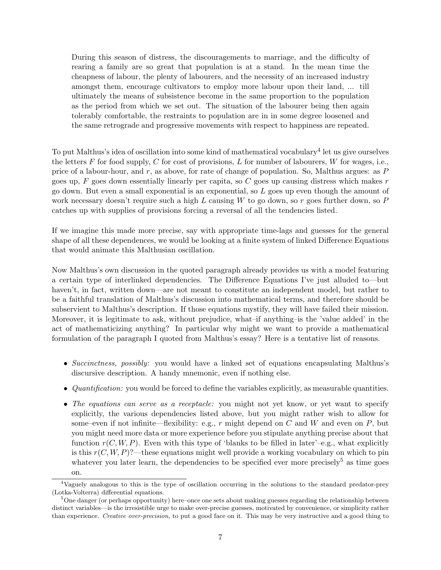During this season of distress, the discouragements to marriage, and the difficulty of rearing a family are so great that population is at a stand. In the mean time the cheapness of labour, the plenty of labourers, and the necessity of an increased industry amongst them, encourage cultivators to employ more labour upon their land, ... till ultimately the means of subsistence become in the same proportion to the population as the period from which we set out. The situation of the labourer being then again tolerably comfortable, the restraints to population are in in some degree loosened and the same retrograde and progressive movements with respect to happiness are repeated.

To put Malthus's idea of oscillation into some kind of mathematical vocabulary<sup>4</sup> let us give ourselves the letters  $F$  for food supply,  $C$  for cost of provisions,  $L$  for number of labourers,  $W$  for wages, i.e., price of a labour-hour, and *r*, as above, for rate of change of population. So, Malthus argues: as *P* goes up, *F* goes down essentially linearly per capita, so *C* goes up causing distress which makes *r* go down. But even a small exponential is an exponential, so *L* goes up even though the amount of work necessary doesn't require such a high *L* causing *W* to go down, so *r* goes further down, so *P* catches up with supplies of provisions forcing a reversal of all the tendencies listed.

If we imagine this made more precise, say with appropriate time-lags and guesses for the general shape of all these dependences, we would be looking at a finite system of linked Difference Equations that would animate this Malthusian oscillation.

Now Malthus's own discussion in the quoted paragraph already provides us with a model featuring a certain type of interlinked dependencies. The Difference Equations I've just alluded to—but haven't, in fact, written down—are not meant to constitute an independent model, but rather to be a faithful translation of Malthus's discussion into mathematical terms, and therefore should be subservient to Malthus's description. If those equations mystify, they will have failed their mission. Moreover, it is legitimate to ask, without prejudice, what–if anything–is the 'value added' in the act of mathematicizing anything? In particular why might we want to provide a mathematical formulation of the paragraph I quoted from Malthus's essay? Here is a tentative list of reasons.

- *Succinctness, possibly:* you would have a linked set of equations encapsulating Malthus's discursive description. A handy mnemonic, even if nothing else.
- *Quantification:* you would be forced to define the variables explicitly, as measurable quantities.
- *The equations can serve as a receptacle:* you might not yet know, or yet want to specify explicitly, the various dependencies listed above, but you might rather wish to allow for some–even if not infinite—flexibility: e.g., *r* might depend on *C* and *W* and even on *P*, but you might need more data or more experience before you stipulate anything precise about that function  $r(C, W, P)$ . Even with this type of 'blanks to be filled in later'–e.g., what explicitly is this  $r(C, W, P)$ ?—these equations might well provide a working vocabulary on which to pin whatever you later learn, the dependencies to be specified ever more precisely<sup>5</sup> as time goes on.

<sup>4</sup>Vaguely analogous to this is the type of oscillation occurring in the solutions to the standard predator-prey (Lotka-Volterra) differential equations.

<sup>&</sup>lt;sup>5</sup>One danger (or perhaps opportunity) here–once one sets about making guesses regarding the relationship between distinct variables—is the irresistible urge to make over-precise guesses, motivated by convenience, or simplicity rather than experience. *Creative over-precision,* to put a good face on it. This may be very instructive and a good thing to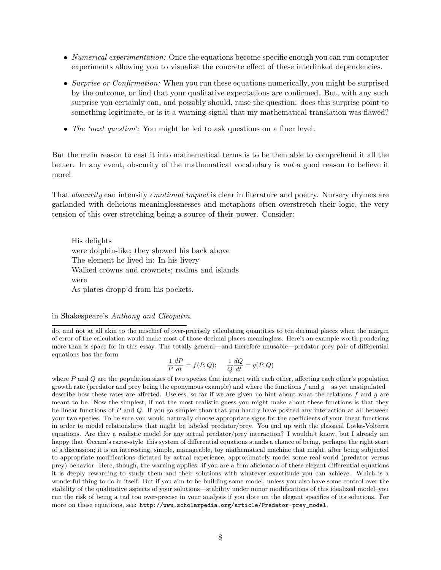- *Numerical experimentation:* Once the equations become specific enough you can run computer experiments allowing you to visualize the concrete effect of these interlinked dependencies.
- *Surprise or Confirmation:* When you run these equations numerically, you might be surprised by the outcome, or find that your qualitative expectations are confirmed. But, with any such surprise you certainly can, and possibly should, raise the question: does this surprise point to something legitimate, or is it a warning-signal that my mathematical translation was flawed?
- *• The 'next question':* You might be led to ask questions on a finer level.

But the main reason to cast it into mathematical terms is to be then able to comprehend it all the better. In any event, obscurity of the mathematical vocabulary is *not* a good reason to believe it more!

That *obscurity* can intensify *emotional impact* is clear in literature and poetry. Nursery rhymes are garlanded with delicious meaninglessnesses and metaphors often overstretch their logic, the very tension of this over-stretching being a source of their power. Consider:

His delights were dolphin-like; they showed his back above The element he lived in: In his livery Walked crowns and crownets; realms and islands were As plates dropp'd from his pockets.

in Shakespeare's *Anthony and Cleopatra*.

do, and not at all akin to the mischief of over-precisely calculating quantities to ten decimal places when the margin of error of the calculation would make most of those decimal places meaningless. Here's an example worth pondering more than is space for in this essay. The totally general—and therefore unusable—predator-prey pair of differential equations has the form

$$
\frac{1}{P}\frac{dP}{dt}=f(P,Q);\quad \ \frac{1}{Q}\frac{dQ}{dt}=g(P,Q)
$$

where *P* and *Q* are the population sizes of two species that interact with each other, affecting each other's population growth rate (predator and prey being the eponymous example) and where the functions *f* and *g*—as yet unstipulated– describe how these rates are affected. Useless, so far if we are given no hint about what the relations *f* and *g* are meant to be. Now the simplest, if not the most realistic guess you might make about these functions is that they be linear functions of *P* and *Q*. If you go simpler than that you hardly have posited any interaction at all between your two species. To be sure you would naturally choose appropriate signs for the coefficients of your linear functions in order to model relationships that might be labeled predator/prey. You end up with the classical Lotka-Volterra equations. Are they a realistic model for any actual predator/prey interaction? I wouldn't know, but I already am happy that–Occam's razor-style–this system of differential equations stands a chance of being, perhaps, the right start of a discussion; it is an interesting, simple, manageable, toy mathematical machine that might, after being subjected to appropriate modifications dictated by actual experience, approximately model some real-world (predator versus prey) behavior. Here, though, the warning applies: if you are a firm aficionado of these elegant differential equations it is deeply rewarding to study them and their solutions with whatever exactitude you can achieve. Which is a wonderful thing to do in itself. But if you aim to be building some model, unless you also have some control over the stability of the qualitative aspects of your solutions—stability under minor modifications of this idealized model–you run the risk of being a tad too over-precise in your analysis if you dote on the elegant specifics of its solutions. For more on these equations, see: http://www.scholarpedia.org/article/Predator-prey\_model.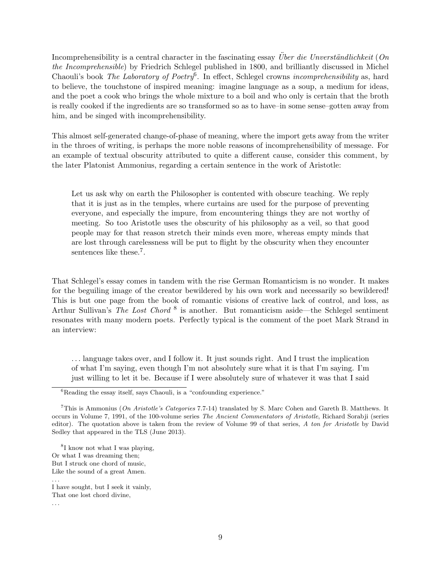Incomprehensibility is a central character in the fascinating essay  $\ddot{U}$ ber die Unverständlichkeit (On *the Incomprehensible*) by Friedrich Schlegel published in 1800, and brilliantly discussed in Michel Chaouli's book *The Laboratory of Poetry*6. In effect, Schlegel crowns *incomprehensibility* as, hard to believe, the touchstone of inspired meaning: imagine language as a soup, a medium for ideas, and the poet a cook who brings the whole mixture to a boil and who only is certain that the broth is really cooked if the ingredients are so transformed so as to have–in some sense–gotten away from him, and be singed with incomprehensibility.

This almost self-generated change-of-phase of meaning, where the import gets away from the writer in the throes of writing, is perhaps the more noble reasons of incomprehensibility of message. For an example of textual obscurity attributed to quite a different cause, consider this comment, by the later Platonist Ammonius, regarding a certain sentence in the work of Aristotle:

Let us ask why on earth the Philosopher is contented with obscure teaching. We reply that it is just as in the temples, where curtains are used for the purpose of preventing everyone, and especially the impure, from encountering things they are not worthy of meeting. So too Aristotle uses the obscurity of his philosophy as a veil, so that good people may for that reason stretch their minds even more, whereas empty minds that are lost through carelessness will be put to flight by the obscurity when they encounter sentences like these.<sup>7</sup>.

That Schlegel's essay comes in tandem with the rise German Romanticism is no wonder. It makes for the beguiling image of the creator bewildered by his own work and necessarily so bewildered! This is but one page from the book of romantic visions of creative lack of control, and loss, as Arthur Sullivan's *The Lost Chord* <sup>8</sup> is another. But romanticism aside—the Schlegel sentiment resonates with many modern poets. Perfectly typical is the comment of the poet Mark Strand in an interview:

*...* language takes over, and I follow it. It just sounds right. And I trust the implication of what I'm saying, even though I'm not absolutely sure what it is that I'm saying. I'm just willing to let it be. Because if I were absolutely sure of whatever it was that I said

 ${}^{6}$ Reading the essay itself, says Chaouli, is a "confounding experience."

<sup>7</sup>This is Ammonius (*On Aristotle's Categories* 7.7-14) translated by S. Marc Cohen and Gareth B. Matthews. It occurs in Volume 7, 1991, of the 100-volume series *The Ancient Commentators of Aristotle*, Richard Sorabji (series editor). The quotation above is taken from the review of Volume 99 of that series, *A ton for Aristotle* by David Sedley that appeared in the TLS (June 2013).

<sup>8</sup>I know not what I was playing, Or what I was dreaming then; But I struck one chord of music, Like the sound of a great Amen.

*<sup>...</sup>* I have sought, but I seek it vainly, That one lost chord divine,

*<sup>...</sup>*